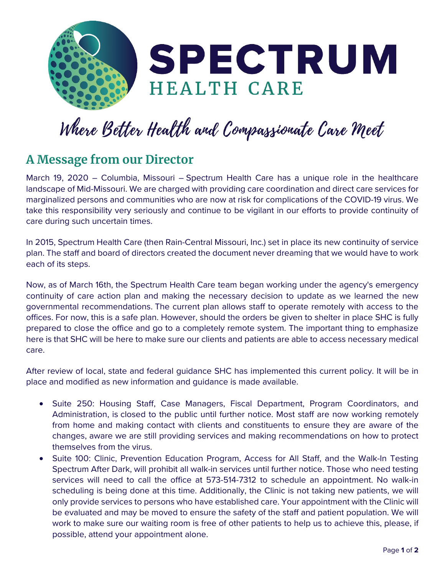

## Where Better Health and Compassionate Care Meet

## **A Message from our Director**

March 19, 2020 – Columbia, Missouri – Spectrum Health Care has a unique role in the healthcare landscape of Mid-Missouri. We are charged with providing care coordination and direct care services for marginalized persons and communities who are now at risk for complications of the COVID-19 virus. We take this responsibility very seriously and continue to be vigilant in our efforts to provide continuity of care during such uncertain times.

In 2015, Spectrum Health Care (then Rain-Central Missouri, Inc.) set in place its new continuity of service plan. The staff and board of directors created the document never dreaming that we would have to work each of its steps.

Now, as of March 16th, the Spectrum Health Care team began working under the agency's emergency continuity of care action plan and making the necessary decision to update as we learned the new governmental recommendations. The current plan allows staff to operate remotely with access to the offices. For now, this is a safe plan. However, should the orders be given to shelter in place SHC is fully prepared to close the office and go to a completely remote system. The important thing to emphasize here is that SHC will be here to make sure our clients and patients are able to access necessary medical care.

After review of local, state and federal guidance SHC has implemented this current policy. It will be in place and modified as new information and guidance is made available.

- Suite 250: Housing Staff, Case Managers, Fiscal Department, Program Coordinators, and Administration, is closed to the public until further notice. Most staff are now working remotely from home and making contact with clients and constituents to ensure they are aware of the changes, aware we are still providing services and making recommendations on how to protect themselves from the virus.
- Suite 100: Clinic, Prevention Education Program, Access for All Staff, and the Walk-In Testing Spectrum After Dark, will prohibit all walk-in services until further notice. Those who need testing services will need to call the office at 573-514-7312 to schedule an appointment. No walk-in scheduling is being done at this time. Additionally, the Clinic is not taking new patients, we will only provide services to persons who have established care. Your appointment with the Clinic will be evaluated and may be moved to ensure the safety of the staff and patient population. We will work to make sure our waiting room is free of other patients to help us to achieve this, please, if possible, attend your appointment alone.